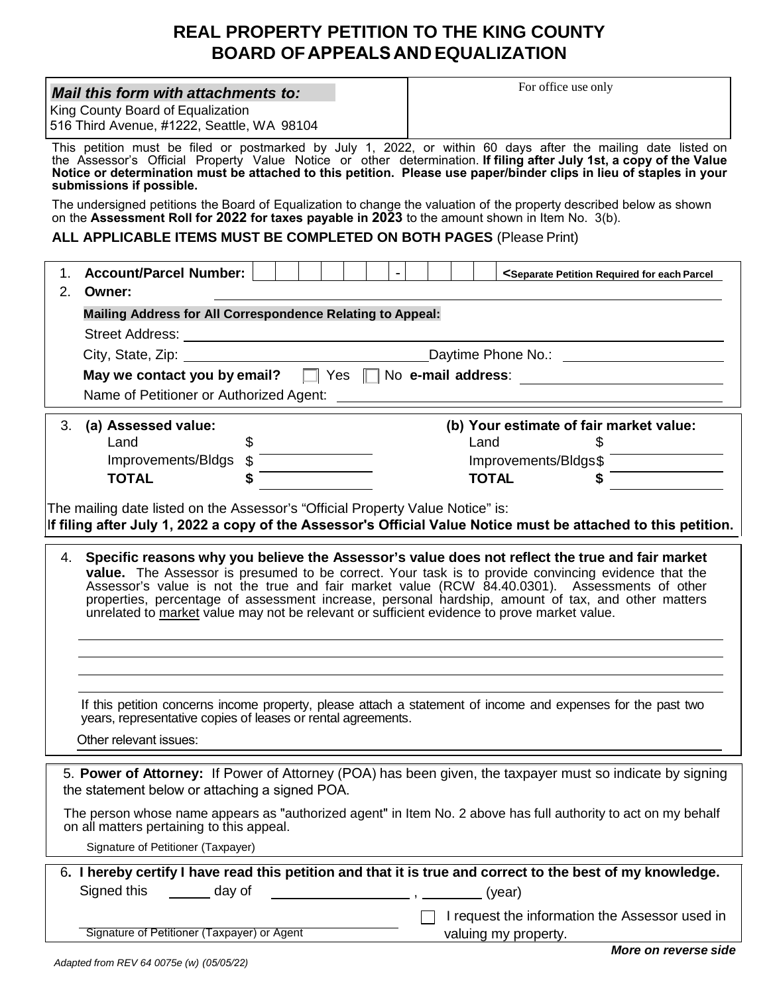# **REAL PROPERTY PETITION TO THE KING COUNTY BOARD OF APPEALS AND EQUALIZATION**

| For office use only<br>Mail this form with attachments to:<br>King County Board of Equalization<br>516 Third Avenue, #1222, Seattle, WA 98104                                                                                                                                                                                                                                                                                                                                                                          |  |  |  |  |  |  |  |
|------------------------------------------------------------------------------------------------------------------------------------------------------------------------------------------------------------------------------------------------------------------------------------------------------------------------------------------------------------------------------------------------------------------------------------------------------------------------------------------------------------------------|--|--|--|--|--|--|--|
| This petition must be filed or postmarked by July 1, 2022, or within 60 days after the mailing date listed on<br>the Assessor's Official Property Value Notice or other determination. If filing after July 1st, a copy of the Value<br>Notice or determination must be attached to this petition. Please use paper/binder clips in lieu of staples in your<br>submissions if possible.                                                                                                                                |  |  |  |  |  |  |  |
| The undersigned petitions the Board of Equalization to change the valuation of the property described below as shown<br>on the Assessment Roll for 2022 for taxes payable in 2023 to the amount shown in Item No. 3(b).                                                                                                                                                                                                                                                                                                |  |  |  |  |  |  |  |
| ALL APPLICABLE ITEMS MUST BE COMPLETED ON BOTH PAGES (Please Print)                                                                                                                                                                                                                                                                                                                                                                                                                                                    |  |  |  |  |  |  |  |
| 1. Account/Parcel Number:    <br>$\blacksquare$<br><separate each="" for="" parcel<br="" petition="" required="">2.<br/>Owner:</separate>                                                                                                                                                                                                                                                                                                                                                                              |  |  |  |  |  |  |  |
| Mailing Address for All Correspondence Relating to Appeal:                                                                                                                                                                                                                                                                                                                                                                                                                                                             |  |  |  |  |  |  |  |
| City, State, Zip: 1980 1991 1992 Daytime Phone No.: 2008 2010 1994 2010 1994 2010 1994 2010 2011 2021 2022 20                                                                                                                                                                                                                                                                                                                                                                                                          |  |  |  |  |  |  |  |
| May we contact you by email?   Yes   No e-mail address: ________________________                                                                                                                                                                                                                                                                                                                                                                                                                                       |  |  |  |  |  |  |  |
|                                                                                                                                                                                                                                                                                                                                                                                                                                                                                                                        |  |  |  |  |  |  |  |
|                                                                                                                                                                                                                                                                                                                                                                                                                                                                                                                        |  |  |  |  |  |  |  |
| (b) Your estimate of fair market value:<br>3. (a) Assessed value:<br>$\mathfrak{F}$<br>Land                                                                                                                                                                                                                                                                                                                                                                                                                            |  |  |  |  |  |  |  |
| Land \$<br>Improvements/Bldgs \$<br>TOTAL \$                                                                                                                                                                                                                                                                                                                                                                                                                                                                           |  |  |  |  |  |  |  |
| Improvements/Bldgs\$<br>TOTAL \$                                                                                                                                                                                                                                                                                                                                                                                                                                                                                       |  |  |  |  |  |  |  |
| The mailing date listed on the Assessor's "Official Property Value Notice" is:<br>If filing after July 1, 2022 a copy of the Assessor's Official Value Notice must be attached to this petition.                                                                                                                                                                                                                                                                                                                       |  |  |  |  |  |  |  |
| 4. Specific reasons why you believe the Assessor's value does not reflect the true and fair market<br><b>value.</b> The Assessor is presumed to be correct. Your task is to provide convincing evidence that the<br>Assessor's value is not the true and fair market value (RCW 84.40.0301). Assessments of other<br>properties, percentage of assessment increase, personal hardship, amount of tax, and other matters<br>unrelated to market value may not be relevant or sufficient evidence to prove market value. |  |  |  |  |  |  |  |
|                                                                                                                                                                                                                                                                                                                                                                                                                                                                                                                        |  |  |  |  |  |  |  |
|                                                                                                                                                                                                                                                                                                                                                                                                                                                                                                                        |  |  |  |  |  |  |  |
| If this petition concerns income property, please attach a statement of income and expenses for the past two<br>years, representative copies of leases or rental agreements.                                                                                                                                                                                                                                                                                                                                           |  |  |  |  |  |  |  |
| Other relevant issues:                                                                                                                                                                                                                                                                                                                                                                                                                                                                                                 |  |  |  |  |  |  |  |
| 5. Power of Attorney: If Power of Attorney (POA) has been given, the taxpayer must so indicate by signing<br>the statement below or attaching a signed POA.                                                                                                                                                                                                                                                                                                                                                            |  |  |  |  |  |  |  |
| The person whose name appears as "authorized agent" in Item No. 2 above has full authority to act on my behalf<br>on all matters pertaining to this appeal.                                                                                                                                                                                                                                                                                                                                                            |  |  |  |  |  |  |  |
| Signature of Petitioner (Taxpayer)                                                                                                                                                                                                                                                                                                                                                                                                                                                                                     |  |  |  |  |  |  |  |
| 6. I hereby certify I have read this petition and that it is true and correct to the best of my knowledge.<br>Signed this<br>day of<br>(year)<br>$\overline{\phantom{a}}$ , $\overline{\phantom{a}}$ , $\overline{\phantom{a}}$ , $\overline{\phantom{a}}$                                                                                                                                                                                                                                                             |  |  |  |  |  |  |  |
|                                                                                                                                                                                                                                                                                                                                                                                                                                                                                                                        |  |  |  |  |  |  |  |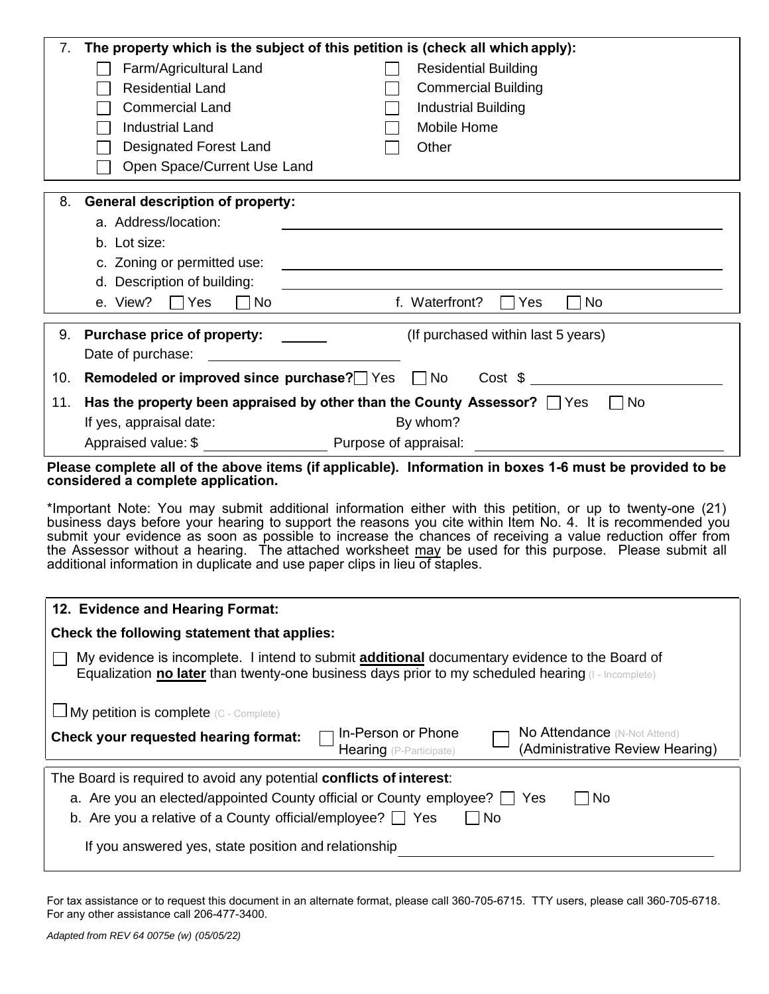|                                                                                                                                                                                                                                                                                                                                                                                                                                                                                                                                 | The property which is the subject of this petition is (check all which apply):<br>7. |                                                                                                                  |  |  |  |  |
|---------------------------------------------------------------------------------------------------------------------------------------------------------------------------------------------------------------------------------------------------------------------------------------------------------------------------------------------------------------------------------------------------------------------------------------------------------------------------------------------------------------------------------|--------------------------------------------------------------------------------------|------------------------------------------------------------------------------------------------------------------|--|--|--|--|
|                                                                                                                                                                                                                                                                                                                                                                                                                                                                                                                                 | Farm/Agricultural Land                                                               | <b>Residential Building</b>                                                                                      |  |  |  |  |
|                                                                                                                                                                                                                                                                                                                                                                                                                                                                                                                                 | <b>Residential Land</b>                                                              | <b>Commercial Building</b>                                                                                       |  |  |  |  |
|                                                                                                                                                                                                                                                                                                                                                                                                                                                                                                                                 | <b>Commercial Land</b>                                                               | <b>Industrial Building</b>                                                                                       |  |  |  |  |
|                                                                                                                                                                                                                                                                                                                                                                                                                                                                                                                                 | <b>Industrial Land</b>                                                               | Mobile Home                                                                                                      |  |  |  |  |
|                                                                                                                                                                                                                                                                                                                                                                                                                                                                                                                                 | <b>Designated Forest Land</b>                                                        | Other                                                                                                            |  |  |  |  |
|                                                                                                                                                                                                                                                                                                                                                                                                                                                                                                                                 | Open Space/Current Use Land                                                          |                                                                                                                  |  |  |  |  |
|                                                                                                                                                                                                                                                                                                                                                                                                                                                                                                                                 |                                                                                      |                                                                                                                  |  |  |  |  |
| 8.                                                                                                                                                                                                                                                                                                                                                                                                                                                                                                                              | <b>General description of property:</b>                                              |                                                                                                                  |  |  |  |  |
|                                                                                                                                                                                                                                                                                                                                                                                                                                                                                                                                 | a. Address/location:                                                                 |                                                                                                                  |  |  |  |  |
|                                                                                                                                                                                                                                                                                                                                                                                                                                                                                                                                 | b. Lot size:                                                                         |                                                                                                                  |  |  |  |  |
|                                                                                                                                                                                                                                                                                                                                                                                                                                                                                                                                 | c. Zoning or permitted use:                                                          |                                                                                                                  |  |  |  |  |
|                                                                                                                                                                                                                                                                                                                                                                                                                                                                                                                                 | d. Description of building:                                                          |                                                                                                                  |  |  |  |  |
|                                                                                                                                                                                                                                                                                                                                                                                                                                                                                                                                 | e. View?<br>Yes<br>No                                                                | f. Waterfront?<br>Yes<br>∏No                                                                                     |  |  |  |  |
|                                                                                                                                                                                                                                                                                                                                                                                                                                                                                                                                 |                                                                                      |                                                                                                                  |  |  |  |  |
| 9.                                                                                                                                                                                                                                                                                                                                                                                                                                                                                                                              | <b>Purchase price of property:</b>                                                   | (If purchased within last 5 years)                                                                               |  |  |  |  |
|                                                                                                                                                                                                                                                                                                                                                                                                                                                                                                                                 | Date of purchase:                                                                    |                                                                                                                  |  |  |  |  |
| 10.                                                                                                                                                                                                                                                                                                                                                                                                                                                                                                                             | Remodeled or improved since purchase? $\Box$ Yes $\Box$ No Cost \$                   |                                                                                                                  |  |  |  |  |
| 11.                                                                                                                                                                                                                                                                                                                                                                                                                                                                                                                             | Has the property been appraised by other than the County Assessor? $\Box$ Yes        | l No                                                                                                             |  |  |  |  |
|                                                                                                                                                                                                                                                                                                                                                                                                                                                                                                                                 | If yes, appraisal date:                                                              | By whom?                                                                                                         |  |  |  |  |
|                                                                                                                                                                                                                                                                                                                                                                                                                                                                                                                                 | Appraised value: \$ Purpose of appraisal:                                            |                                                                                                                  |  |  |  |  |
|                                                                                                                                                                                                                                                                                                                                                                                                                                                                                                                                 |                                                                                      |                                                                                                                  |  |  |  |  |
| Please complete all of the above items (if applicable). Information in boxes 1-6 must be provided to be<br>considered a complete application.                                                                                                                                                                                                                                                                                                                                                                                   |                                                                                      |                                                                                                                  |  |  |  |  |
| *Important Note: You may submit additional information either with this petition, or up to twenty-one (21)<br>business days before your hearing to support the reasons you cite within Item No. 4. It is recommended you<br>submit your evidence as soon as possible to increase the chances of receiving a value reduction offer from<br>the Assessor without a hearing. The attached worksheet may be used for this purpose. Please submit all<br>additional information in duplicate and use paper clips in lieu of staples. |                                                                                      |                                                                                                                  |  |  |  |  |
| 12. Evidence and Hearing Format:                                                                                                                                                                                                                                                                                                                                                                                                                                                                                                |                                                                                      |                                                                                                                  |  |  |  |  |
| Check the following statement that applies:                                                                                                                                                                                                                                                                                                                                                                                                                                                                                     |                                                                                      |                                                                                                                  |  |  |  |  |
| My evidence is incomplete. I intend to submit <b>additional</b> documentary evidence to the Board of                                                                                                                                                                                                                                                                                                                                                                                                                            |                                                                                      |                                                                                                                  |  |  |  |  |
| Equalization no later than twenty-one business days prior to my scheduled hearing $(I - Incomplete)$                                                                                                                                                                                                                                                                                                                                                                                                                            |                                                                                      |                                                                                                                  |  |  |  |  |
|                                                                                                                                                                                                                                                                                                                                                                                                                                                                                                                                 | $\Box$ My petition is complete (C - Complete)                                        |                                                                                                                  |  |  |  |  |
|                                                                                                                                                                                                                                                                                                                                                                                                                                                                                                                                 | <b>Check your requested hearing format:</b>                                          | In-Person or Phone<br>No Attendance (N-Not Attend)<br>(Administrative Review Hearing)<br>Hearing (P-Participate) |  |  |  |  |
| The Board is required to avoid any potential conflicts of interest:                                                                                                                                                                                                                                                                                                                                                                                                                                                             |                                                                                      |                                                                                                                  |  |  |  |  |
| a. Are you an elected/appointed County official or County employee?<br>No<br>Yes                                                                                                                                                                                                                                                                                                                                                                                                                                                |                                                                                      |                                                                                                                  |  |  |  |  |
| b. Are you a relative of a County official/employee? $\Box$ Yes<br>∏No                                                                                                                                                                                                                                                                                                                                                                                                                                                          |                                                                                      |                                                                                                                  |  |  |  |  |
|                                                                                                                                                                                                                                                                                                                                                                                                                                                                                                                                 |                                                                                      |                                                                                                                  |  |  |  |  |
|                                                                                                                                                                                                                                                                                                                                                                                                                                                                                                                                 | If you answered yes, state position and relationship                                 |                                                                                                                  |  |  |  |  |

For tax assistance or to request this document in an alternate format, please call 360-705-6715. TTY users, please call 360-705-6718. For any other assistance call 206-477-3400.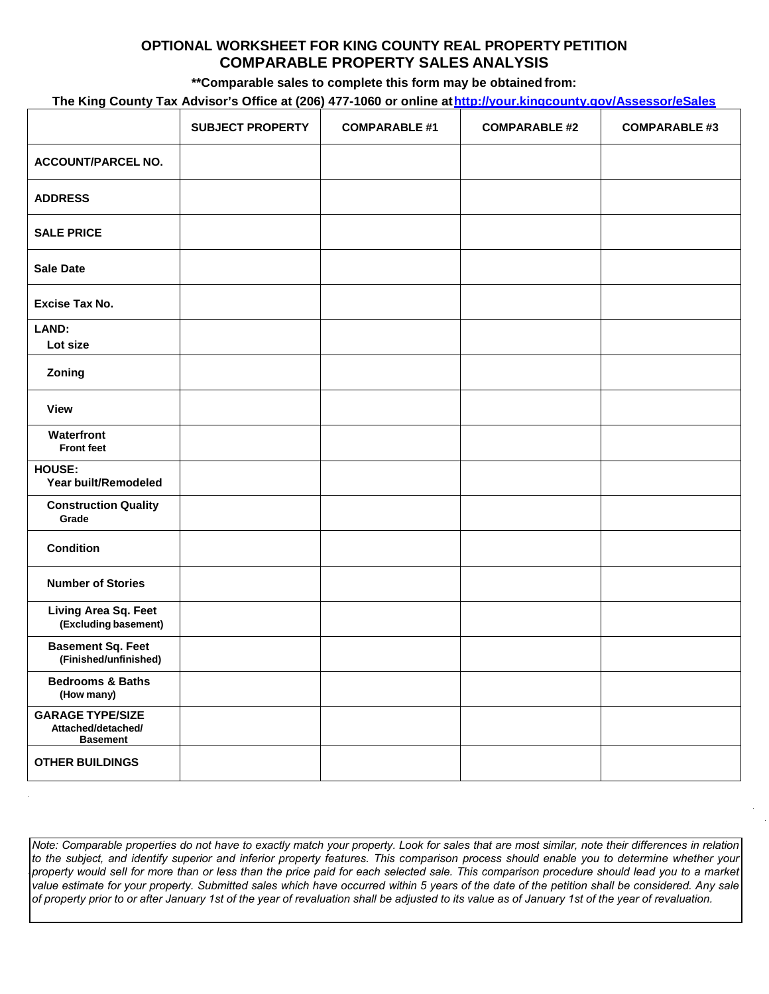### **OPTIONAL WORKSHEET FOR KING COUNTY REAL PROPERTY PETITION COMPARABLE PROPERTY SALES ANALYSIS**

**\*\*Comparable sales to complete this form may be obtained from:**

### **The King County Tax Advisor's Office at (206) 477-1060 or online a[thttp://your.kingcounty.gov/Assessor/eSales](http://your.kingcounty.gov/Assessor/eSales)**

|                                                                  | <b>SUBJECT PROPERTY</b> | <b>COMPARABLE #1</b> | <b>COMPARABLE #2</b> | <b>COMPARABLE #3</b> |
|------------------------------------------------------------------|-------------------------|----------------------|----------------------|----------------------|
| <b>ACCOUNT/PARCEL NO.</b>                                        |                         |                      |                      |                      |
| <b>ADDRESS</b>                                                   |                         |                      |                      |                      |
| <b>SALE PRICE</b>                                                |                         |                      |                      |                      |
| <b>Sale Date</b>                                                 |                         |                      |                      |                      |
| <b>Excise Tax No.</b>                                            |                         |                      |                      |                      |
| LAND:<br>Lot size                                                |                         |                      |                      |                      |
| Zoning                                                           |                         |                      |                      |                      |
| <b>View</b>                                                      |                         |                      |                      |                      |
| Waterfront<br><b>Front feet</b>                                  |                         |                      |                      |                      |
| HOUSE:<br>Year built/Remodeled                                   |                         |                      |                      |                      |
| <b>Construction Quality</b><br>Grade                             |                         |                      |                      |                      |
| <b>Condition</b>                                                 |                         |                      |                      |                      |
| <b>Number of Stories</b>                                         |                         |                      |                      |                      |
| Living Area Sq. Feet<br>(Excluding basement)                     |                         |                      |                      |                      |
| <b>Basement Sq. Feet</b><br>(Finished/unfinished)                |                         |                      |                      |                      |
| <b>Bedrooms &amp; Baths</b><br>(How many)                        |                         |                      |                      |                      |
| <b>GARAGE TYPE/SIZE</b><br>Attached/detached/<br><b>Basement</b> |                         |                      |                      |                      |
| <b>OTHER BUILDINGS</b>                                           |                         |                      |                      |                      |

Note: Comparable properties do not have to exactly match your property. Look for sales that are most similar, note their differences in relation to the subject, and identify superior and inferior property features. This comparison process should enable you to determine whether your property would sell for more than or less than the price paid for each selected sale. This comparison procedure should lead you to a market *value estimate for your property. Submitted sales which have occurred within 5 years of the date of the petition shall be considered. Any sale of property prior to or after January 1st of the year of revaluation shall be adjusted to its value as of January 1st of the year of revaluation.*